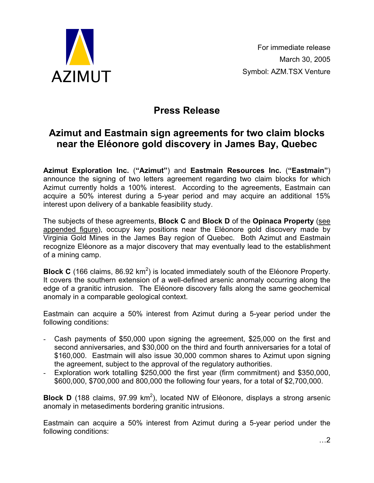

# **Press Release**

## **Azimut and Eastmain sign agreements for two claim blocks near the Eléonore gold discovery in James Bay, Quebec**

**Azimut Exploration Inc.** (**"Azimut"**) and **Eastmain Resources Inc.** (**"Eastmain"**) announce the signing of two letters agreement regarding two claim blocks for which Azimut currently holds a 100% interest. According to the agreements, Eastmain can acquire a 50% interest during a 5-year period and may acquire an additional 15% interest upon delivery of a bankable feasibility study.

The subjects of these agreements, **Block C** and **Block D** of the **Opinaca Property** (see appended figure), occupy key positions near the Eléonore gold discovery made by Virginia Gold Mines in the James Bay region of Quebec. Both Azimut and Eastmain recognize Eléonore as a major discovery that may eventually lead to the establishment of a mining camp.

**Block C** (166 claims, 86.92 km<sup>2</sup>) is located immediately south of the Eléonore Property. It covers the southern extension of a well-defined arsenic anomaly occurring along the edge of a granitic intrusion. The Eléonore discovery falls along the same geochemical anomaly in a comparable geological context.

Eastmain can acquire a 50% interest from Azimut during a 5-year period under the following conditions:

- Cash payments of \$50,000 upon signing the agreement, \$25,000 on the first and second anniversaries, and \$30,000 on the third and fourth anniversaries for a total of \$160,000. Eastmain will also issue 30,000 common shares to Azimut upon signing the agreement, subject to the approval of the regulatory authorities.
- Exploration work totalling \$250,000 the first year (firm commitment) and \$350,000, \$600,000, \$700,000 and 800,000 the following four years, for a total of \$2,700,000.

**Block D** (188 claims, 97.99 km<sup>2</sup>), located NW of Eléonore, displays a strong arsenic anomaly in metasediments bordering granitic intrusions.

Eastmain can acquire a 50% interest from Azimut during a 5-year period under the following conditions: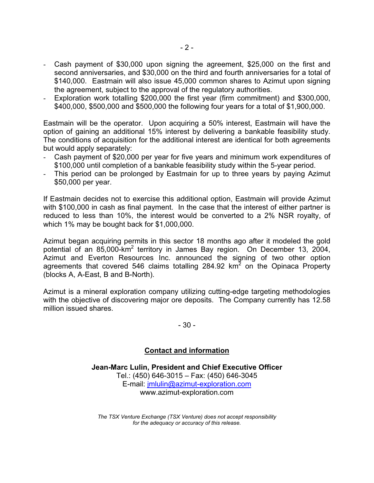- Cash payment of \$30,000 upon signing the agreement, \$25,000 on the first and second anniversaries, and \$30,000 on the third and fourth anniversaries for a total of \$140,000. Eastmain will also issue 45,000 common shares to Azimut upon signing the agreement, subject to the approval of the regulatory authorities.
- Exploration work totalling \$200,000 the first year (firm commitment) and \$300,000. \$400,000, \$500,000 and \$500,000 the following four years for a total of \$1,900,000.

Eastmain will be the operator. Upon acquiring a 50% interest, Eastmain will have the option of gaining an additional 15% interest by delivering a bankable feasibility study. The conditions of acquisition for the additional interest are identical for both agreements but would apply separately:

- Cash payment of \$20,000 per year for five years and minimum work expenditures of \$100,000 until completion of a bankable feasibility study within the 5-year period.
- This period can be prolonged by Eastmain for up to three years by paying Azimut \$50,000 per year.

If Eastmain decides not to exercise this additional option, Eastmain will provide Azimut with \$100,000 in cash as final payment. In the case that the interest of either partner is reduced to less than 10%, the interest would be converted to a 2% NSR royalty, of which 1% may be bought back for \$1,000,000.

Azimut began acquiring permits in this sector 18 months ago after it modeled the gold potential of an 85,000-km<sup>2</sup> territory in James Bay region. On December 13, 2004, Azimut and Everton Resources Inc. announced the signing of two other option agreements that covered 546 claims totalling 284.92  $km^2$  on the Opinaca Property (blocks A, A-East, B and B-North).

Azimut is a mineral exploration company utilizing cutting-edge targeting methodologies with the objective of discovering major ore deposits. The Company currently has 12.58 million issued shares.

- 30 -

### **Contact and information**

**Jean-Marc Lulin, President and Chief Executive Officer**  Tel.: (450) 646-3015 – Fax: (450) 646-3045 E-mail: jmlulin@azimut-exploration.com www.azimut-exploration.com

*The TSX Venture Exchange (TSX Venture) does not accept responsibility for the adequacy or accuracy of this release.*